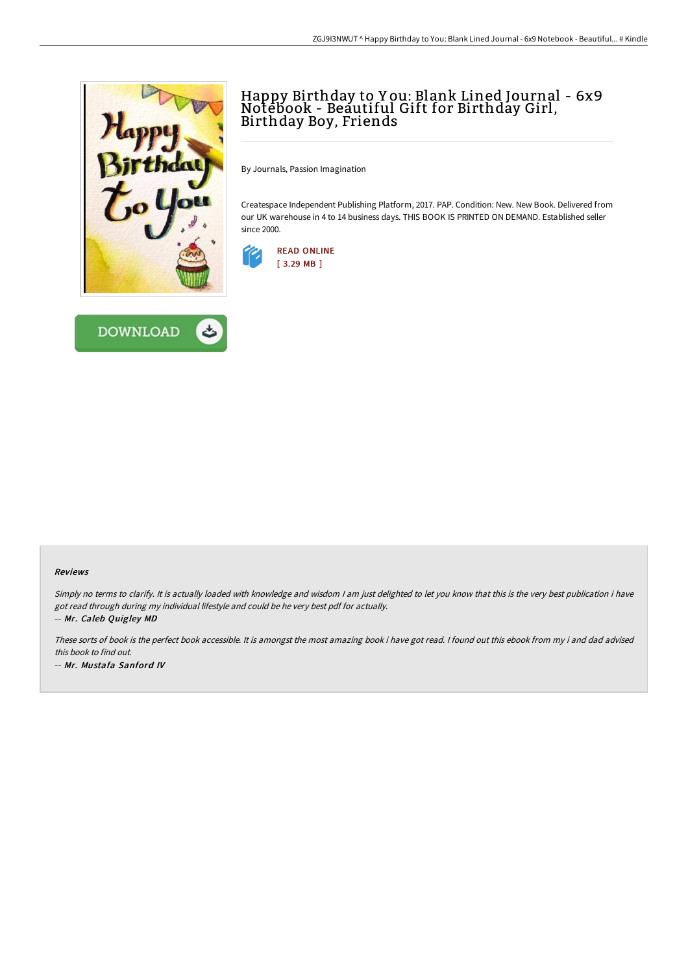



## Happy Birthday to Y ou: Blank Lined Journal - 6x9 Notebook - Beautiful Gift for Birthday Girl, Birthday Boy, Friends

By Journals, Passion Imagination

Createspace Independent Publishing Platform, 2017. PAP. Condition: New. New Book. Delivered from our UK warehouse in 4 to 14 business days. THIS BOOK IS PRINTED ON DEMAND. Established seller since 2000.



## Reviews

Simply no terms to clarify. It is actually loaded with knowledge and wisdom I am just delighted to let you know that this is the very best publication i have got read through during my individual lifestyle and could be he very best pdf for actually. -- Mr. Caleb Quigley MD

These sorts of book is the perfect book accessible. It is amongst the most amazing book i have got read. <sup>I</sup> found out this ebook from my i and dad advised this book to find out. -- Mr. Mustafa Sanford IV